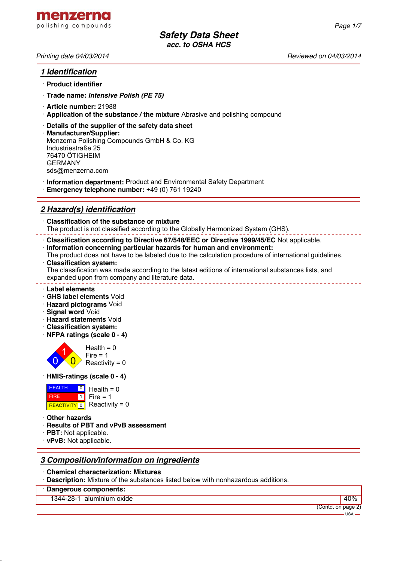

*Page 1/7*

## *1 Identification*

- · **Product identifier**
- · **Trade name:** *Intensive Polish (PE 75)*
- · **Article number:** 21988
- · **Application of the substance / the mixture** Abrasive and polishing compound
- · **Details of the supplier of the safety data sheet**
- · **Manufacturer/Supplier:** Menzerna Polishing Compounds GmbH & Co. KG Industriestraße 25 76470 ÖTIGHEIM GERMANY sds@menzerna.com
- · **Information department:** Product and Environmental Safety Department
- · **Emergency telephone number:** +49 (0) 761 19240

# *2 Hazard(s) identification*

· **Classification of the substance or mixture** The product is not classified according to the Globally Harmonized System (GHS).

· **Classification according to Directive 67/548/EEC or Directive 1999/45/EC** Not applicable.

- · **Information concerning particular hazards for human and environment:**
- The product does not have to be labeled due to the calculation procedure of international guidelines. · **Classification system:**

The classification was made according to the latest editions of international substances lists, and expanded upon from company and literature data.

- · **Label elements**
- · **GHS label elements** Void
- · **Hazard pictograms** Void
- · **Signal word** Void
- · **Hazard statements** Void
- · **Classification system:**
- · **NFPA ratings (scale 0 4)**



#### · **HMIS-ratings (scale 0 - 4)**

| <b>HEALTH</b> | $\Box$ Health = 0           |
|---------------|-----------------------------|
| <b>FIRE</b>   | $1$ Fire = 1                |
|               | REACTIVITY 0 Reactivity = 0 |

- · **Other hazards**
- · **Results of PBT and vPvB assessment**
- · **PBT:** Not applicable.
- · **vPvB:** Not applicable.

## *3 Composition/information on ingredients*

- · **Chemical characterization: Mixtures**
- · **Description:** Mixture of the substances listed below with nonhazardous additions.

### · **Dangerous components:**

1344-28-1 aluminium oxide 40%

(Contd. on page 2)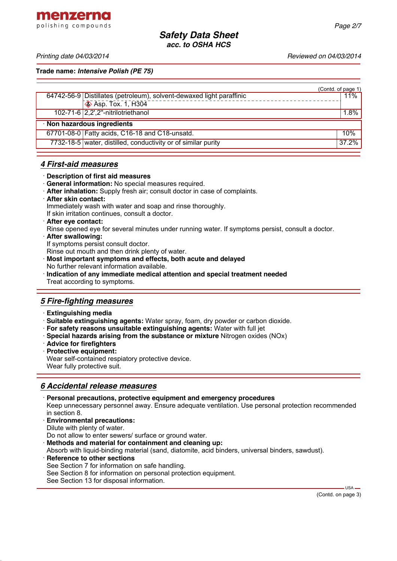menzerna polishing compounds

*Printing date 04/03/2014 Reviewed on 04/03/2014*

**Trade name:** *Intensive Polish (PE 75)*

|                                                                      | (Contd. of page 1) |
|----------------------------------------------------------------------|--------------------|
| 64742-56-9 Distillates (petroleum), solvent-dewaxed light paraffinic | 11%                |
| $\otimes$ Asp. Tox. 1, H304                                          |                    |
| 102-71-6 2,2',2"-nitrilotriethanol                                   | $1.8\%$            |
| · Non hazardous ingredients                                          |                    |
| 67701-08-0 Fatty acids, C16-18 and C18-unsatd.                       | 10%                |
| 7732-18-5 water, distilled, conductivity or of similar purity        | 37.2%              |
|                                                                      |                    |

## *4 First-aid measures*

- · **Description of first aid measures**
- · **General information:** No special measures required.
- · **After inhalation:** Supply fresh air; consult doctor in case of complaints.
- · **After skin contact:** Immediately wash with water and soap and rinse thoroughly. If skin irritation continues, consult a doctor.
- · **After eye contact:**

Rinse opened eye for several minutes under running water. If symptoms persist, consult a doctor.

· **After swallowing:** If symptoms persist consult doctor.

Rinse out mouth and then drink plenty of water.

- · **Most important symptoms and effects, both acute and delayed** No further relevant information available.
- · **Indication of any immediate medical attention and special treatment needed** Treat according to symptoms.

# *5 Fire-fighting measures*

- · **Extinguishing media**
- · **Suitable extinguishing agents:** Water spray, foam, dry powder or carbon dioxide.
- · **For safety reasons unsuitable extinguishing agents:** Water with full jet
- · **Special hazards arising from the substance or mixture** Nitrogen oxides (NOx)
- · **Advice for firefighters**
- · **Protective equipment:** Wear self-contained respiatory protective device. Wear fully protective suit.

## *6 Accidental release measures*

· **Personal precautions, protective equipment and emergency procedures** Keep unnecessary personnel away. Ensure adequate ventilation. Use personal protection recommended in section 8. · **Environmental precautions:** Dilute with plenty of water.

Do not allow to enter sewers/ surface or ground water.

· **Methods and material for containment and cleaning up:**

Absorb with liquid-binding material (sand, diatomite, acid binders, universal binders, sawdust).

**Reference to other sections** See Section 7 for information on safe handling. See Section 8 for information on personal protection equipment. See Section 13 for disposal information.

(Contd. on page 3)

 $-$  USA -

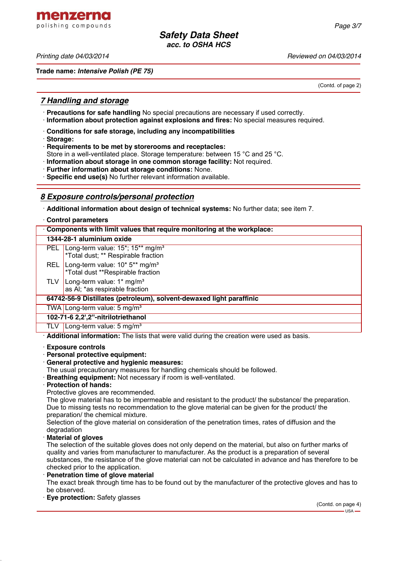*Printing date 04/03/2014 Reviewed on 04/03/2014*

menzerna polishing compounds

**Trade name:** *Intensive Polish (PE 75)*

(Contd. of page 2)

## *7 Handling and storage*

- · **Precautions for safe handling** No special precautions are necessary if used correctly.
- · **Information about protection against explosions and fires:** No special measures required.
- · **Conditions for safe storage, including any incompatibilities**
- · **Storage:**
- · **Requirements to be met by storerooms and receptacles:**
- Store in a well-ventilated place. Storage temperature: between 15 °C and 25 °C.
- · **Information about storage in one common storage facility:** Not required.
- · **Further information about storage conditions:** None.
- · **Specific end use(s)** No further relevant information available.

## *8 Exposure controls/personal protection*

· **Additional information about design of technical systems:** No further data; see item 7.

| Control parameters                                                     |                                                                                                                  |  |  |
|------------------------------------------------------------------------|------------------------------------------------------------------------------------------------------------------|--|--|
| Components with limit values that require monitoring at the workplace: |                                                                                                                  |  |  |
| 1344-28-1 aluminium oxide                                              |                                                                                                                  |  |  |
|                                                                        | PEL Long-term value: 15 <sup>*</sup> ; 15 <sup>**</sup> mg/m <sup>3</sup><br>*Total dust; ** Respirable fraction |  |  |
| <b>REL</b>                                                             | Long-term value: 10* 5** mg/m <sup>3</sup><br>*Total dust **Respirable fraction                                  |  |  |
| TLV                                                                    | Long-term value: $1*$ mg/m <sup>3</sup><br>as AI; *as respirable fraction                                        |  |  |
| 64742-56-9 Distillates (petroleum), solvent-dewaxed light paraffinic   |                                                                                                                  |  |  |
|                                                                        | TWA Long-term value: 5 mg/m <sup>3</sup>                                                                         |  |  |
|                                                                        | 102-71-6 2,2',2"-nitrilotriethanol                                                                               |  |  |
| TLV                                                                    | Long-term value: 5 mg/m <sup>3</sup>                                                                             |  |  |

· **Additional information:** The lists that were valid during the creation were used as basis.

#### · **Exposure controls**

- · **Personal protective equipment:**
- · **General protective and hygienic measures:**
- The usual precautionary measures for handling chemicals should be followed.
- · **Breathing equipment:** Not necessary if room is well-ventilated.
- · **Protection of hands:**

Protective gloves are recommended.

The glove material has to be impermeable and resistant to the product/ the substance/ the preparation. Due to missing tests no recommendation to the glove material can be given for the product/ the preparation/ the chemical mixture.

Selection of the glove material on consideration of the penetration times, rates of diffusion and the degradation

#### · **Material of gloves**

The selection of the suitable gloves does not only depend on the material, but also on further marks of quality and varies from manufacturer to manufacturer. As the product is a preparation of several substances, the resistance of the glove material can not be calculated in advance and has therefore to be checked prior to the application.

**Penetration time of glove material** 

The exact break through time has to be found out by the manufacturer of the protective gloves and has to be observed.

· **Eye protection:** Safety glasses

(Contd. on page 4) USA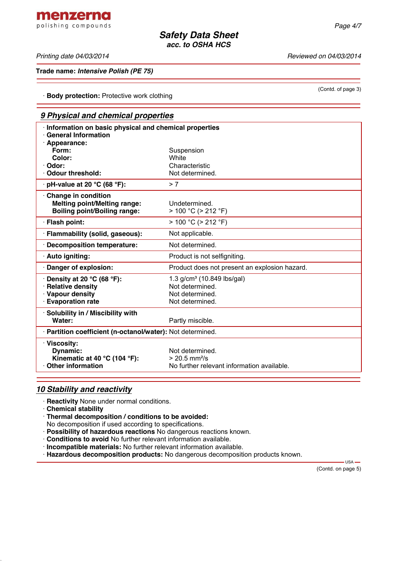*Printing date 04/03/2014 Reviewed on 04/03/2014*

**Trade name:** *Intensive Polish (PE 75)*

· **Body protection:** Protective work clothing

# *9 Physical and chemical properties*

| Information on basic physical and chemical properties<br><b>General Information</b><br>· Appearance: |                                               |
|------------------------------------------------------------------------------------------------------|-----------------------------------------------|
| Form:                                                                                                | Suspension                                    |
| Color:                                                                                               | White                                         |
| · Odor:                                                                                              | Characteristic                                |
| Odour threshold:                                                                                     | Not determined.                               |
| $\cdot$ pH-value at 20 °C (68 °F):                                                                   | > 7                                           |
| Change in condition<br><b>Melting point/Melting range:</b><br><b>Boiling point/Boiling range:</b>    | Undetermined.<br>$> 100 °C$ ( $> 212 °F$ )    |
| · Flash point:                                                                                       | $> 100 °C$ ( $> 212 °F$ )                     |
| · Flammability (solid, gaseous):                                                                     | Not applicable.                               |
| Decomposition temperature:                                                                           | Not determined.                               |
| · Auto igniting:                                                                                     | Product is not selfigniting.                  |
| Danger of explosion:                                                                                 | Product does not present an explosion hazard. |
| $\cdot$ Density at 20 °C (68 °F):                                                                    | 1.3 $g/cm^3$ (10.849 lbs/gal)                 |
| · Relative density                                                                                   | Not determined.                               |
| · Vapour density                                                                                     | Not determined.                               |
| <b>Evaporation rate</b>                                                                              | Not determined.                               |
| · Solubility in / Miscibility with                                                                   |                                               |
| Water:                                                                                               | Partly miscible.                              |
| · Partition coefficient (n-octanol/water): Not determined.                                           |                                               |
| · Viscosity:<br>Dynamic:                                                                             | Not determined.                               |
| Kinematic at 40 °C (104 °F):                                                                         | $> 20.5$ mm <sup>2</sup> /s                   |
| Other information                                                                                    | No further relevant information available.    |
|                                                                                                      |                                               |

## *10 Stability and reactivity*

· **Reactivity** None under normal conditions.

· **Chemical stability**

· **Thermal decomposition / conditions to be avoided:**

No decomposition if used according to specifications.

· **Possibility of hazardous reactions** No dangerous reactions known.

· **Conditions to avoid** No further relevant information available.

· **Incompatible materials:** No further relevant information available.

· **Hazardous decomposition products:** No dangerous decomposition products known.

(Contd. on page 5)

 $-$  USA  $-$ 

(Contd. of page 3)

menzerna polishing compounds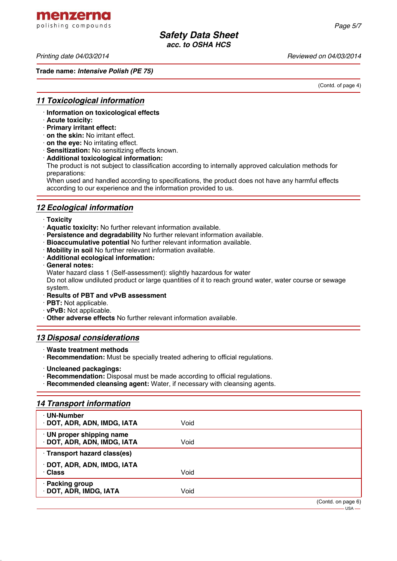menzerna polishing compounds

*Printing date 04/03/2014 Reviewed on 04/03/2014*

**Trade name:** *Intensive Polish (PE 75)*

(Contd. of page 4)

 $-$ USA $-$ 

## *11 Toxicological information*

- · **Information on toxicological effects**
- · **Acute toxicity:**
- · **Primary irritant effect:**
- · **on the skin:** No irritant effect.
- · **on the eye:** No irritating effect.
- · **Sensitization:** No sensitizing effects known.
- · **Additional toxicological information:**

The product is not subject to classification according to internally approved calculation methods for preparations:

When used and handled according to specifications, the product does not have any harmful effects according to our experience and the information provided to us.

# *12 Ecological information*

- · **Toxicity**
- · **Aquatic toxicity:** No further relevant information available.
- · **Persistence and degradability** No further relevant information available.
- · **Bioaccumulative potential** No further relevant information available.
- · **Mobility in soil** No further relevant information available.
- · **Additional ecological information:**
- · **General notes:**

Water hazard class 1 (Self-assessment): slightly hazardous for water

Do not allow undiluted product or large quantities of it to reach ground water, water course or sewage system.

- · **Results of PBT and vPvB assessment**
- · **PBT:** Not applicable.
- · **vPvB:** Not applicable.
- · **Other adverse effects** No further relevant information available.

## *13 Disposal considerations*

- · **Waste treatment methods**
- · **Recommendation:** Must be specially treated adhering to official regulations.
- · **Uncleaned packagings:**
- · **Recommendation:** Disposal must be made according to official regulations.
- · **Recommended cleansing agent:** Water, if necessary with cleansing agents.

## *14 Transport information*

| · UN-Number<br>· DOT, ADR, ADN, IMDG, IATA           | Void |                    |
|------------------------------------------------------|------|--------------------|
| UN proper shipping name<br>DOT, ADR, ADN, IMDG, IATA | Void |                    |
| · Transport hazard class(es)                         |      |                    |
| DOT, ADR, ADN, IMDG, IATA<br>· Class                 | Void |                    |
| · Packing group<br>DOT, ADR, IMDG, IATA              | Void |                    |
|                                                      |      | (Contd. on page 6) |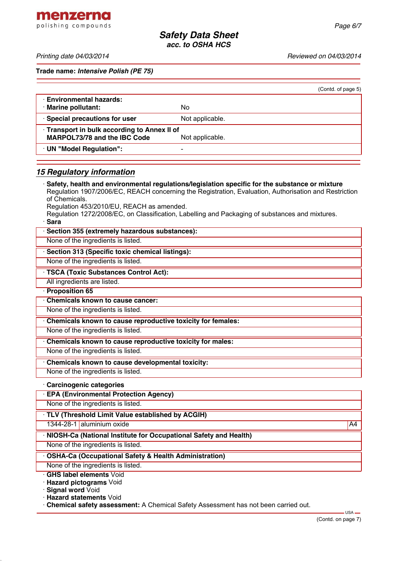menzerna polishing compounds

**Trade name:** *Intensive Polish (PE 75)*

| <b>Environmental hazards:</b><br><b>Marine pollutant:</b><br>No<br>· Special precautions for user<br>Not applicable.<br>Transport in bulk according to Annex II of | (Contd. of page 5) |
|--------------------------------------------------------------------------------------------------------------------------------------------------------------------|--------------------|
|                                                                                                                                                                    |                    |
|                                                                                                                                                                    |                    |
| <b>MARPOL73/78 and the IBC Code</b><br>Not applicable.                                                                                                             |                    |
| UN "Model Regulation":<br>-                                                                                                                                        |                    |

# *15 Regulatory information*

· **Safety, health and environmental regulations/legislation specific for the substance or mixture** Regulation 1907/2006/EC, REACH concerning the Registration, Evaluation, Authorisation and Restriction of Chemicals. Regulation 453/2010/EU, REACH as amended. Regulation 1272/2008/EC, on Classification, Labelling and Packaging of substances and mixtures.

· **Sara**

| · Sara                                                             |    |
|--------------------------------------------------------------------|----|
| Section 355 (extremely hazardous substances):                      |    |
| None of the ingredients is listed.                                 |    |
| · Section 313 (Specific toxic chemical listings):                  |    |
| None of the ingredients is listed.                                 |    |
| TSCA (Toxic Substances Control Act):                               |    |
| All ingredients are listed.                                        |    |
| Proposition 65                                                     |    |
| <b>Chemicals known to cause cancer:</b>                            |    |
| None of the ingredients is listed.                                 |    |
| Chemicals known to cause reproductive toxicity for females:        |    |
| None of the ingredients is listed.                                 |    |
| Chemicals known to cause reproductive toxicity for males:          |    |
| None of the ingredients is listed.                                 |    |
| Chemicals known to cause developmental toxicity:                   |    |
| None of the ingredients is listed.                                 |    |
| · Carcinogenic categories                                          |    |
| <b>EPA (Environmental Protection Agency)</b>                       |    |
| None of the ingredients is listed.                                 |    |
| · TLV (Threshold Limit Value established by ACGIH)                 |    |
| 1344-28-1 aluminium oxide                                          | A4 |
| · NIOSH-Ca (National Institute for Occupational Safety and Health) |    |
| None of the ingredients is listed.                                 |    |
| <b>OSHA-Ca (Occupational Safety &amp; Health Administration)</b>   |    |
| None of the ingredients is listed.                                 |    |
| <b>GHS label elements Void</b>                                     |    |
| · Hazard pictograms Void<br>. <b>Signal word</b> Void              |    |

**Signal word** Void · **Hazard statements** Void

· **Chemical safety assessment:** A Chemical Safety Assessment has not been carried out.

USA